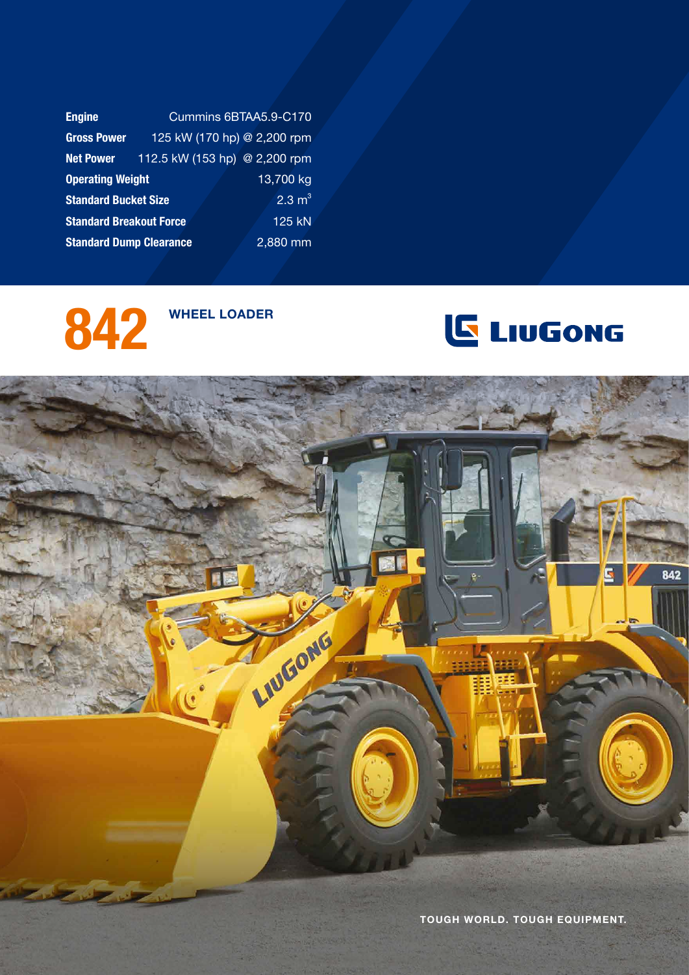| <b>Engine</b>                  | Cummins 6BTAA5.9-C170         |                   |  |
|--------------------------------|-------------------------------|-------------------|--|
| <b>Gross Power</b>             | 125 kW (170 hp) @ 2,200 rpm   |                   |  |
| <b>Net Power</b>               | 112.5 kW (153 hp) @ 2,200 rpm |                   |  |
| <b>Operating Weight</b>        |                               | 13,700 kg         |  |
| <b>Standard Bucket Size</b>    |                               | $2.3 \text{ m}^3$ |  |
| <b>Standard Breakout Force</b> |                               | $125$ kN          |  |
| <b>Standard Dump Clearance</b> |                               | $2,880$ mm        |  |





842 LIUGONG Tough world. tough equipment.